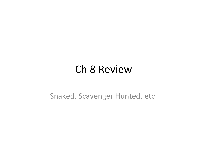#### **Ch 8 Review**

Snaked, Scavenger Hunted, etc.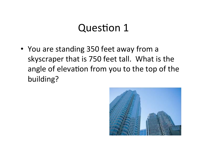• You are standing 350 feet away from a skyscraper that is 750 feet tall. What is the angle of elevation from you to the top of the building? 

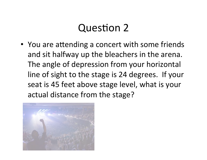• You are attending a concert with some friends and sit halfway up the bleachers in the arena. The angle of depression from your horizontal line of sight to the stage is 24 degrees. If your seat is 45 feet above stage level, what is your actual distance from the stage?

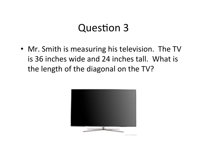• Mr. Smith is measuring his television. The TV is 36 inches wide and 24 inches tall. What is the length of the diagonal on the TV?

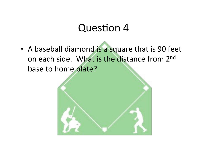• A baseball diamond is a square that is 90 feet on each side. What is the distance from 2<sup>nd</sup> base to home plate?

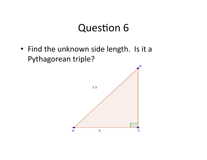• Find the unknown side length. Is it a Pythagorean triple?

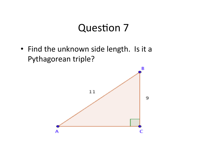• Find the unknown side length. Is it a Pythagorean triple?

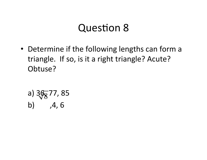• Determine if the following lengths can form a triangle. If so, is it a right triangle? Acute? Obtuse?

a) 
$$
3\sqrt[3]{8}
$$
 77, 85  
b) ,4, 6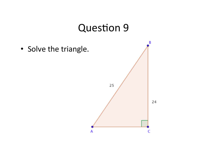В · Solve the triangle. 25 24

А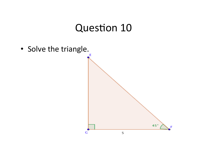• Solve the triangle. 45° G 5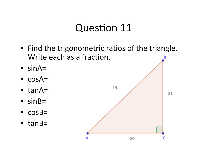- Find the trigonometric ratios of the triangle. Write each as a fraction.
- $\cdot$  sinA=
- $\text{cos}A =$
- $\bullet$  tanA=
- $\cdot$  sinB=
- $\text{-} \cos B =$
- $\bullet$  tanB=

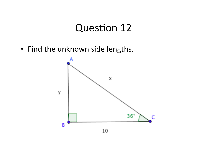• Find the unknown side lengths.

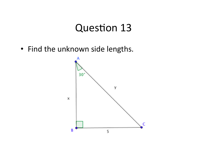• Find the unknown side lengths.